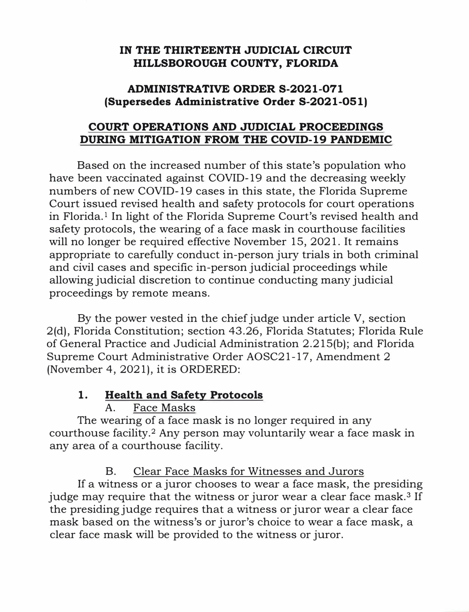#### **IN THE THIRTEENTH JUDICIAL CIRCUIT HILLSBOROUGH COUNTY, FLORIDA**

#### **ADMINISTRATIVE ORDER S-2021-071 (Supersedes Administrative Order S-2021-051)**

#### **COURT OPERATIONS AND JUDICIAL PROCEEDINGS DURING MITIGATION FROM THE COVID-19 PANDEMIC**

Based on the increased number of this state's population who have been vaccinated against COVID-19 and the decreasing weekly numbers of new COVID-19 cases in this state, the Florida Supreme Court issued revised health and safety protocols for court operations in Florida.1 In light of the Florida Supreme Court's revised health and safety protocols, the wearing of a face mask in courthouse facilities will no longer be required effective November 15, 2021. It remains appropriate to carefully conduct in-person jury trials in both criminal and civil cases and specific in-person judicial proceedings while allowing judicial discretion to continue conducting many judicial proceedings by remote means.

By the power vested in the chief judge under article V, section 2(d), Florida Constitution; section 43.26, Florida Statutes; Florida Rule of General Practice and Judicial Administration 2.215(b); and Florida Supreme Court Administrative Order AOSC21-17, Amendment 2 (November 4, 2021), it is ORDERED:

### **1. Health and Safety Protocols**

### A. Face Masks

The wearing of a face mask is no longer required in any courthouse facility.**2** Any person may voluntarily wear a face mask in any area of a courthouse facility.

B. Clear Face Masks for Witnesses and Jurors

If a witness or a juror chooses to wear a face mask, the presiding judge may require that the witness or juror wear a clear face mask. **<sup>3</sup>**If the presiding judge requires that a witness or juror wear a clear face mask based on the witness's or juror's choice to wear a face mask, a clear face mask will be provided to the witness or juror.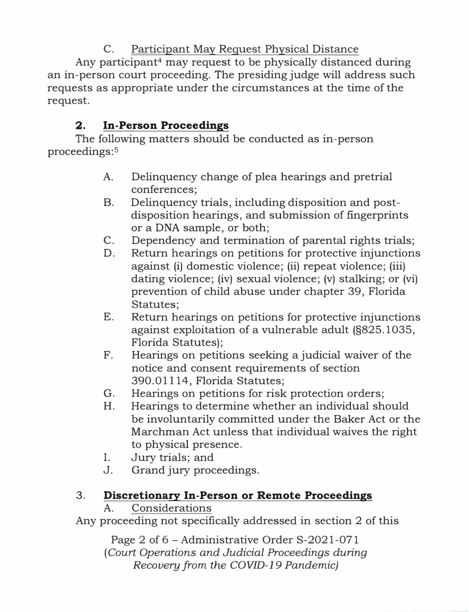# C. Participant May Request Physical Distance

Any participant<sup>4</sup> may request to be physically distanced during an in-person court proceeding. The presiding judge will address such requests as appropriate under the circumstances at the time of the request.

# 2. In-Person Proceedings

The following matters should be conducted as in-person proceedings:<sup>5</sup>

- A. Delinquency change of plea hearings and pretrial conferences;
- B. Delinquency trials, including disposition and postdisposition hearings, and submission of fingerprints or a DNA sample, or both;
- C. Dependency and termination of parental rights trials;
- D. Return hearings on petitions for protective injunctions against (i) domestic violence; (ii) repeat violence; (iii) dating violence; (iv) sexual violence; (v) stalking; or (vi) prevention of child abuse under chapter 39, Florida Statutes;
- E. Return hearings on petitions for protective injunctions against exploitation of a vulnerable adult (§825.1035, Florida Statutes);
- F. Hearings on petitions seeking a judicial waiver of the notice and consent requirements of section 390.01114, Florida Statutes;
- G. Hearings on petitions for risk protection orders;
- H. Hearings to determine whether an individual should be involuntarily committed under the Baker Act or the Marchman Act unless that individual waives the right to physical presence.
- I. Jury trials; and
- J. Grand jury proceedings.

# 3. Discretionary In-Person or Remote Proceedings

### A. Considerations

Any proceeding not specifically addressed in section 2 of this

Page 2 of 6 - Administrative Order S-2021-071 ( *Court Operations and Judicial Proceedings during Recovery from the COVID-19 Pandemic)*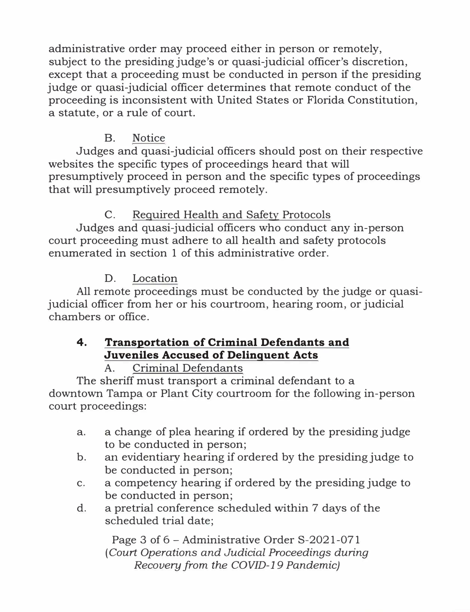administrative order may proceed either in person or remotely, subject to the presiding judge's or quasi-judicial officer's discretion, except that a proceeding must be conducted in person if the presiding judge or quasi-judicial officer determines that remote conduct of the proceeding is inconsistent with United States or Florida Constitution, a statute, or a rule of court.

## B. Notice

Judges and quasi-judicial officers should post on their respective websites the specific types of proceedings heard that will presumptively proceed in person and the specific types of proceedings that will presumptively proceed remotely.

## C. Required Health and Safety Protocols

Judges and quasi-judicial officers who conduct any in-person court proceeding must adhere to all health and safety protocols enumerated in section 1 of this administrative order.

### D. Location

All remote proceedings must be conducted by the judge or quasijudicial officer from her or his courtroom, hearing room, or judicial chambers or office.

# **4. Transportation of Criminal Defendants and Juveniles Accused of Delinquent Acts**

### A. Criminal Defendants

The sheriff must transport a criminal defendant to a downtown Tampa or Plant City courtroom for the following in-person court proceedings:

- a. a change of plea hearing if ordered by the presiding judge to be conducted in person;
- b. an evidentiary hearing if ordered by the presiding judge to be conducted in person;
- c. a competency hearing if ordered by the presiding judge to be conducted in person;
- d. a pretrial conference scheduled within 7 days of the scheduled trial date;

Page 3 of 6 - Administrative Order S-2021-071 ( *Court Operations and Judicial Proceedings during Recovery from the COVID-19 Pandemic)*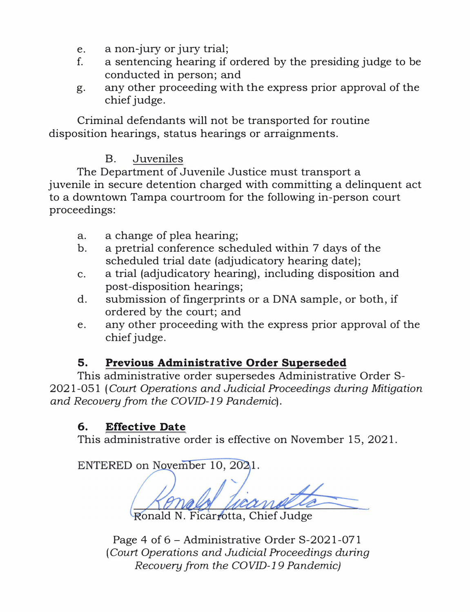- e. a non-jury or jury trial;
- f. a sentencing hearing if ordered by the presiding judge to be conducted in person; and
- g. any other proceeding with the express prior approval of the chief judge.

Criminal defendants will not be transported for routine disposition hearings, status hearings or arraignments.

### B. Juveniles

The Department of Juvenile Justice must transport a juvenile in secure detention charged with committing a delinquent act to a downtown Tampa courtroom for the following in-person court proceedings:

- a. a change of plea hearing;
- b. a pretrial conference scheduled within 7 days of the scheduled trial date (adjudicatory hearing date);
- c. a trial (adjudicatory hearing), including disposition and post-disposition hearings;
- d. submission of fingerprints or a DNA sample, or both, if ordered by the court; and
- e. any other proceeding with the express prior approval of the chief judge.

## **5. Previous Administrative Order Superseded**

This administrative order supersedes Administrative Order S-2021-051 ( *Court Operations and Judicial Proceedings during Mitigation and Recovery from the COVID-19 Pandemic).* 

### **6. Effective Date**

This administrative order is effective on November 15, 2021.

ENTERED on November 10, 2021.

N. Ficarrotta, Chief Judge

Page 4 of  $6$  – Administrative Order S-2021-071 ( *Court Operations and Judicial Proceedings during Recovery from the COVID-19 Pandemic)*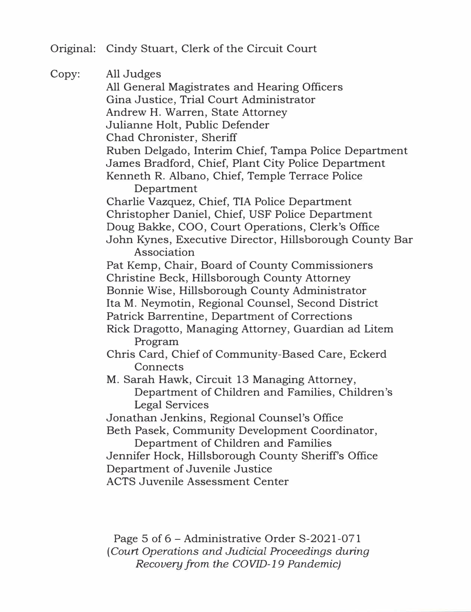Original: Cindy Stuart, Clerk of the Circuit Court

Copy: All Judges All General Magistrates and Hearing Officers Gina Justice, Trial Court Administrator Andrew H. Warren, State Attorney Julianne Holt, Public Defender Chad Chronister, Sheriff Ruben Delgado, Interim Chief, Tampa Police Department James Bradford, Chief, Plant City Police Department Kenneth R. Albano, Chief, Temple Terrace Police Department Charlie Vazquez, Chief, TIA Police Department Christopher Daniel, Chief, USF Police Department Doug Bakke, COO, Court Operations, Clerk's Office John Kynes, Executive Director, Hillsborough County Bar Association Pat Kemp, Chair, Board of County Commissioners Christine Beck, Hillsborough County Attorney Bonnie Wise, Hillsborough County Administrator Ita M. Neymotin, Regional Counsel, Second District Patrick Barrentine, Department of Corrections Rick Dragotta, Managing Attorney, Guardian ad Litem Program Chris Card, Chief of Community-Based Care, Eckerd **Connects** M. Sarah Hawk, Circuit 13 Managing Attorney, Department of Children and Families, Children's Legal Services Jonathan Jenkins, Regional Counsel's Office Beth Pasek, Community Development Coordinator, Department of Children and Families Jennifer Hock, Hillsborough County Sheriffs Office Department of Juvenile Justice ACTS Juvenile Assessment Center

> Page 5 of 6 – Administrative Order S-2021-071 ( *Court Operations and Judicial Proceedings during Recovery from the COVID-19 Pandemic)*